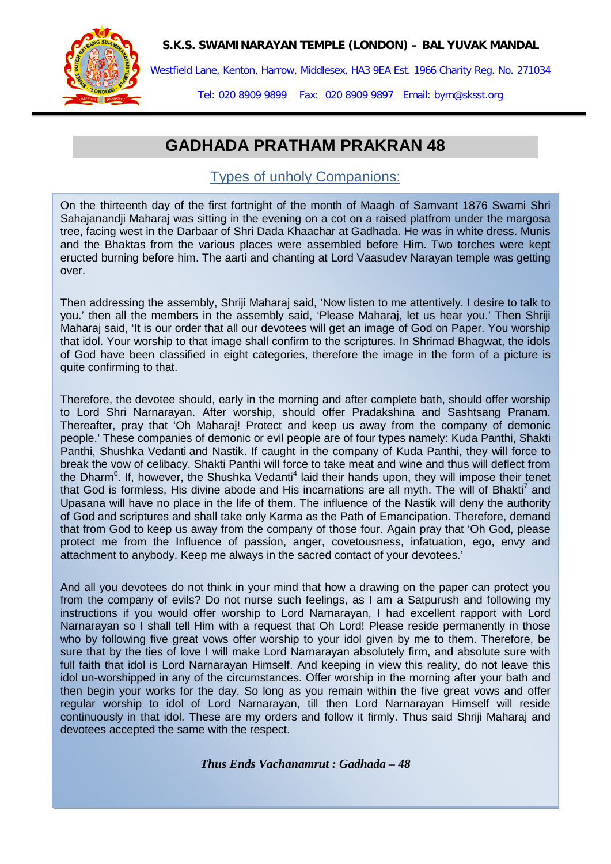**S.K.S. SWAMINARAYAN TEMPLE (LONDON) – BAL YUVAK MANDAL**



Westfield Lane, Kenton, Harrow, Middlesex, HA3 9EA Est. 1966 Charity Reg. No. 271034

Tel: 020 8909 9899 Fax: 020 8909 9897 Email: bym@sksst.org

## **GADHADA PRATHAM PRAKRAN 48**

## Types of unholy Companions:

On the thirteenth day of the first fortnight of the month of Maagh of Samvant 1876 Swami Shri Sahajanandji Maharaj was sitting in the evening on a cot on a raised platfrom under the margosa tree, facing west in the Darbaar of Shri Dada Khaachar at Gadhada. He was in white dress. Munis and the Bhaktas from the various places were assembled before Him. Two torches were kept eructed burning before him. The aarti and chanting at Lord Vaasudev Narayan temple was getting over.

Then addressing the assembly, Shriji Maharaj said, 'Now listen to me attentively. I desire to talk to you.' then all the members in the assembly said, 'Please Maharaj, let us hear you.' Then Shriji Maharaj said, 'It is our order that all our devotees will get an image of God on Paper. You worship that idol. Your worship to that image shall confirm to the scriptures. In Shrimad Bhagwat, the idols of God have been classified in eight categories, therefore the image in the form of a picture is quite confirming to that.

Therefore, the devotee should, early in the morning and after complete bath, should offer worship to Lord Shri Narnarayan. After worship, should offer Pradakshina and Sashtsang Pranam. Thereafter, pray that 'Oh Maharaj! Protect and keep us away from the company of demonic people.' These companies of demonic or evil people are of four types namely: Kuda Panthi, Shakti Panthi, Shushka Vedanti and Nastik. If caught in the company of Kuda Panthi, they will force to break the vow of celibacy. Shakti Panthi will force to take meat and wine and thus will deflect from the Dharm<sup>6</sup>. If, however, the Shushka Vedanti<sup>4</sup> laid their hands upon, they will impose their tenet that God is formless. His divine abode and His incarnations are all myth. The will of Bhakti<sup>7</sup> and Upasana will have no place in the life of them. The influence of the Nastik will deny the authority of God and scriptures and shall take only Karma as the Path of Emancipation. Therefore, demand that from God to keep us away from the company of those four. Again pray that 'Oh God, please protect me from the Influence of passion, anger, covetousness, infatuation, ego, envy and attachment to anybody. Keep me always in the sacred contact of your devotees.'

And all you devotees do not think in your mind that how a drawing on the paper can protect you from the company of evils? Do not nurse such feelings, as I am a Satpurush and following my instructions if you would offer worship to Lord Narnarayan, I had excellent rapport with Lord Narnarayan so I shall tell Him with a request that Oh Lord! Please reside permanently in those who by following five great vows offer worship to your idol given by me to them. Therefore, be sure that by the ties of love I will make Lord Narnarayan absolutely firm, and absolute sure with full faith that idol is Lord Narnarayan Himself. And keeping in view this reality, do not leave this idol un-worshipped in any of the circumstances. Offer worship in the morning after your bath and then begin your works for the day. So long as you remain within the five great vows and offer regular worship to idol of Lord Narnarayan, till then Lord Narnarayan Himself will reside continuously in that idol. These are my orders and follow it firmly. Thus said Shriji Maharaj and devotees accepted the same with the respect.

*Thus Ends Vachanamrut : Gadhada – 48*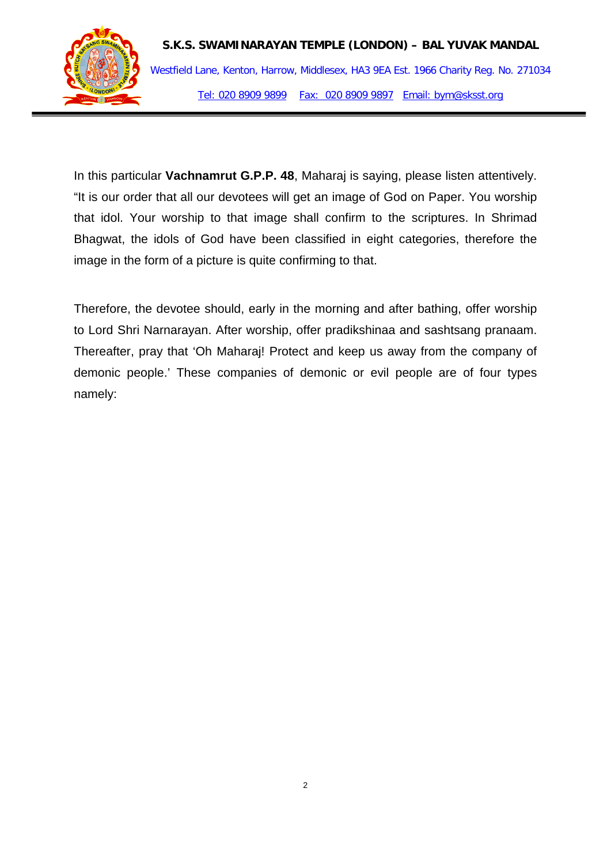

In this particular **Vachnamrut G.P.P. 48**, Maharaj is saying, please listen attentively. "It is our order that all our devotees will get an image of God on Paper. You worship that idol. Your worship to that image shall confirm to the scriptures. In Shrimad Bhagwat, the idols of God have been classified in eight categories, therefore the image in the form of a picture is quite confirming to that.

Therefore, the devotee should, early in the morning and after bathing, offer worship to Lord Shri Narnarayan. After worship, offer pradikshinaa and sashtsang pranaam. Thereafter, pray that 'Oh Maharaj! Protect and keep us away from the company of demonic people.' These companies of demonic or evil people are of four types namely: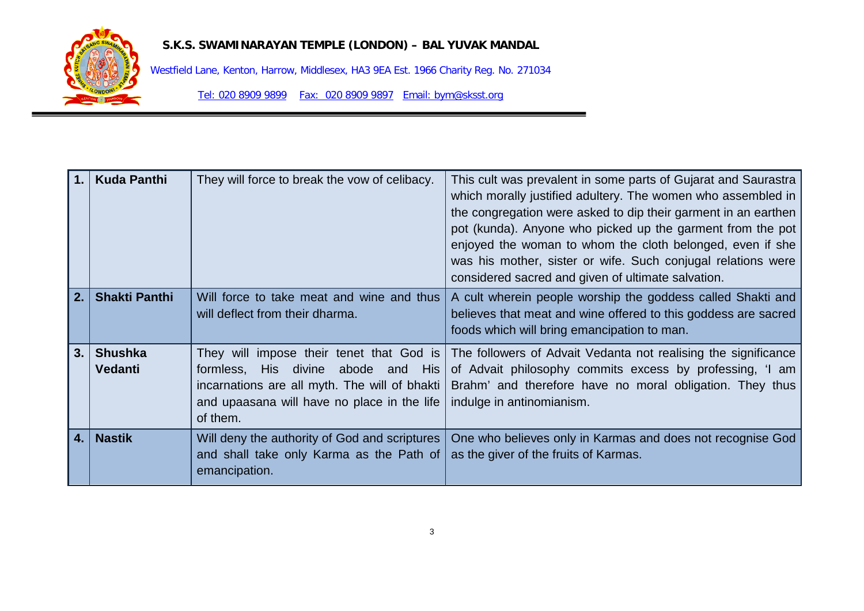

## **S.K.S. SWAMINARAYAN TEMPLE (LONDON) – BAL YUVAK MANDAL**

Westfield Lane, Kenton, Harrow, Middlesex, HA3 9EA Est. 1966 Charity Reg. No. 271034

Tel: 020 8909 9899 Fax: 020 8909 9897 Email: bym@sksst.org

| $\mathbf 1$ .  | <b>Kuda Panthi</b>               | They will force to break the vow of celibacy.                                                                                                                                                    | This cult was prevalent in some parts of Gujarat and Saurastra<br>which morally justified adultery. The women who assembled in<br>the congregation were asked to dip their garment in an earthen<br>pot (kunda). Anyone who picked up the garment from the pot<br>enjoyed the woman to whom the cloth belonged, even if she<br>was his mother, sister or wife. Such conjugal relations were<br>considered sacred and given of ultimate salvation. |
|----------------|----------------------------------|--------------------------------------------------------------------------------------------------------------------------------------------------------------------------------------------------|---------------------------------------------------------------------------------------------------------------------------------------------------------------------------------------------------------------------------------------------------------------------------------------------------------------------------------------------------------------------------------------------------------------------------------------------------|
| 2.             | <b>Shakti Panthi</b>             | Will force to take meat and wine and thus<br>will deflect from their dharma.                                                                                                                     | A cult wherein people worship the goddess called Shakti and<br>believes that meat and wine offered to this goddess are sacred<br>foods which will bring emancipation to man.                                                                                                                                                                                                                                                                      |
| 3.             | <b>Shushka</b><br><b>Vedanti</b> | They will impose their tenet that God is<br>His divine<br>abode and His<br>formless,<br>incarnations are all myth. The will of bhakti<br>and upaasana will have no place in the life<br>of them. | The followers of Advait Vedanta not realising the significance<br>of Advait philosophy commits excess by professing, 'I am<br>Brahm' and therefore have no moral obligation. They thus<br>indulge in antinomianism.                                                                                                                                                                                                                               |
| $\mathbf{4}$ . | <b>Nastik</b>                    | Will deny the authority of God and scriptures<br>and shall take only Karma as the Path of<br>emancipation.                                                                                       | One who believes only in Karmas and does not recognise God<br>as the giver of the fruits of Karmas.                                                                                                                                                                                                                                                                                                                                               |